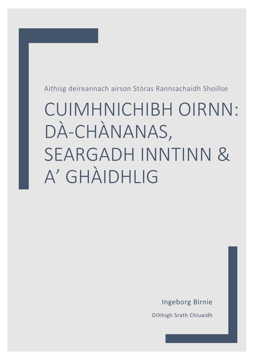Aithisg deireannach airson Stòras Rannsachaidh Shoillse

# **CUIMHNICHIBH OIRNN:** DÀ-CHÀNANAS, **SEARGADH INNTINN &** A' GHÀIDHLIG

**Ingeborg Birnie** 

Oilthigh Srath Chluaidh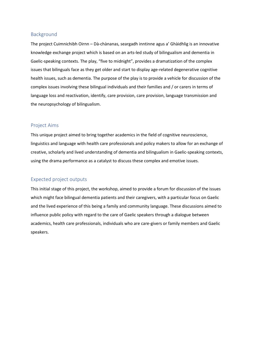#### Background

The project Cuimnichibh Oirnn – Dà-chànanas, seargadh inntinne agus a' Ghàidhlig is an innovative knowledge exchange project which is based on an arts-led study of bilingualism and dementia in Gaelic-speaking contexts. The play, "five to midnight", provides a dramatization of the complex issues that bilinguals face as they get older and start to display age-related degenerative cognitive health issues, such as dementia. The purpose of the play is to provide a vehicle for discussion of the complex issues involving these bilingual individuals and their families and / or carers in terms of language loss and reactivation, identify, care provision, care provision, language transmission and the neuropsychology of bilingualism.

# Project Aims

This unique project aimed to bring together academics in the field of cognitive neuroscience, linguistics and language with health care professionals and policy makers to allow for an exchange of creative, scholarly and lived understanding of dementia and bilingualism in Gaelic-speaking contexts, using the drama performance as a catalyst to discuss these complex and emotive issues.

# Expected project outputs

This initial stage of this project, the workshop, aimed to provide a forum for discussion of the issues which might face bilingual dementia patients and their caregivers, with a particular focus on Gaelic and the lived experience of this being a family and community language. These discussions aimed to influence public policy with regard to the care of Gaelic speakers through a dialogue between academics, health care professionals, individuals who are care-givers or family members and Gaelic speakers.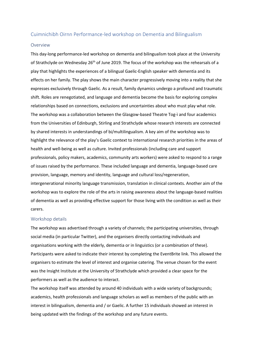#### Cuimnichibh Oirnn Performance-led workshop on Dementia and Bilingualism

#### Overview

This day-long performance-led workshop on dementia and bilingualism took place at the University of Strathclyde on Wednesday 26<sup>th</sup> of June 2019. The focus of the workshop was the rehearsals of a play that highlights the experiences of a bilingual Gaelic-English speaker with dementia and its effects on her family. The play shows the main character progressively moving into a reality that she expresses exclusively through Gaelic. As a result, family dynamics undergo a profound and traumatic shift. Roles are renegotiated, and language and dementia become the basis for exploring complex relationships based on connections, exclusions and uncertainties about who must play what role. The workshop was a collaboration between the Glasgow-based Theatre Tog-ì and four academics from the Universities of Edinburgh, Stirling and Strathclyde whose research interests are connected by shared interests in understandings of bi/multilingualism. A key aim of the workshop was to highlight the relevance of the play's Gaelic context to international research priorities in the areas of health and well-being as well as culture. Invited professionals (including care and support professionals, policy makers, academics, community arts workers) were asked to respond to a range of issues raised by the performance. These included language and dementia, language-based care provision, language, memory and identity, language and cultural loss/regeneration, intergenerational minority language transmission, translation in clinical contexts. Another aim of the workshop was to explore the role of the arts in raising awareness about the language-based realities of dementia as well as providing effective support for those living with the condition as well as their carers.

#### Workshop details

The workshop was advertised through a variety of channels; the participating universities, through social media (in particular Twitter), and the organisers directly contacting individuals and organisations working with the elderly, dementia or in linguistics (or a combination of these). Participants were asked to indicate their interest by completing the EventBrite link. This allowed the organisers to estimate the level of interest and organise catering. The venue chosen for the event was the Insight Institute at the University of Strathclyde which provided a clear space for the performers as well as the audience to interact.

The workshop itself was attended by around 40 individuals with a wide variety of backgrounds; academics, health professionals and language scholars as well as members of the public with an interest in bilingualism, dementia and / or Gaelic. A further 15 individuals showed an interest in being updated with the findings of the workshop and any future events.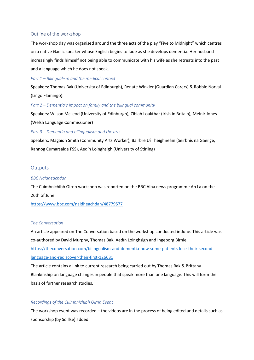# Outline of the workshop

The workshop day was organised around the three acts of the play "Five to Midnight" which centres on a native Gaelic speaker whose English begins to fade as she develops dementia. Her husband increasingly finds himself not being able to communicate with his wife as she retreats into the past and a language which he does not speak.

#### *Part 1 – Bilingualism and the medical context*

Speakers: Thomas Bak (University of Edinburgh), Renate Winkler (Guardian Carers) & Robbie Norval (Lingo Flamingo).

# *Part 2 – Dementia's impact on family and the bilingual community*

Speakers: Wilson McLeod (University of Edinburgh), Zibiah Loakthar (Irish in Britain), Meinir Jones (Welsh Language Commissioner)

*Part 3 – Dementia and bilingualism and the arts*

Speakers: Magaidh Smith (Community Arts Worker), Bairbre Uí Theighneàin (Seirbhís na Gaeilge, Rannóg Cumarsáide FSS), Aedín Loinghsigh (University of Stirling)

# **Outputs**

#### *BBC Naidheachdan*

The Cuimhnichibh Oirnn workshop was reported on the BBC Alba news programme An Là on the 26th of June:

<https://www.bbc.com/naidheachdan/48779577>

#### *The Conversation*

An article appeared on The Conversation based on the workshop conducted in June. This article was co-authored by David Murphy, Thomas Bak, Aedín Loinghsigh and Ingeborg Birnie. [https://theconversation.com/bilingualism-and-dementia-how-some-patients-lose-their-second](https://theconversation.com/bilingualism-and-dementia-how-some-patients-lose-their-second-language-and-rediscover-their-first-126631)[language-and-rediscover-their-first-126631](https://theconversation.com/bilingualism-and-dementia-how-some-patients-lose-their-second-language-and-rediscover-their-first-126631)

The article contains a link to current research being carried out by Thomas Bak & Brittany Blankinship on language changes in people that speak more than one language. This will form the basis of further research studies.

#### *Recordings of the Cuimhnichibh Oirnn Event*

The workshop event was recorded – the videos are in the process of being edited and details such as sponsorship (by Soillse) added.